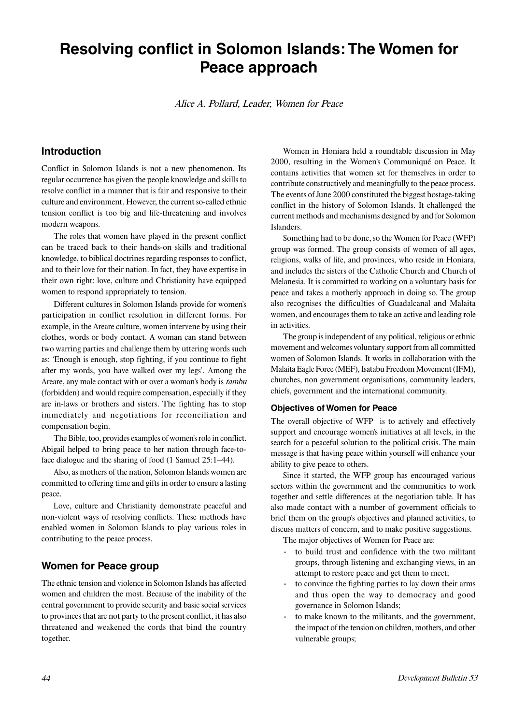# **Resolving conflict in Solomon Islands: The Women for Peace approach**

Alice A. Pollard, Leade<sup>r</sup>, Wome<sup>n</sup> fo<sup>r</sup> Peace

## **Introduction**

Conflict in Solomon Islands is not a new phenomenon. Its regular occurrence has given the people knowledge and skills to resolve conflict in a manner that is fair and responsive to their culture and environment. However, the current so-called ethnic tension conflict is too big and life-threatening and involves modern weapons.

The roles that women have played in the present conflict can be traced back to their hands-on skills and traditional knowledge, to biblical doctrines regarding responses to conflict, and to their love for their nation. In fact, they have expertise in their own right: love, culture and Christianity have equipped women to respond appropriately to tension.

Different cultures in Solomon Islands provide for women's participation in conflict resolution in different forms. For example, in the Areare culture, women intervene by using their clothes, words or body contact. A woman can stand between two warring parties and challenge them by uttering words such as: 'Enough is enough, stop fighting, if you continue to fight after my words, you have walked over my legs'. Among the Areare, any male contact with or over a woman's body is <sup>t</sup>ambu (forbidden) and would require compensation, especially if they are in-laws or brothers and sisters. The fighting has to stop immediately and negotiations for reconciliation and compensation begin.

The Bible, too, provides examples of women's role in conflict. Abigail helped to bring peace to her nation through face-toface dialogue and the sharing of food (1 Samuel 25:1–44).

Also, as mothers of the nation, Solomon Islands women are committed to offering time and gifts in order to ensure a lasting peace.

Love, culture and Christianity demonstrate peaceful and non-violent ways of resolving conflicts. These methods have enabled women in Solomon Islands to play various roles in contributing to the peace process.

### **Women for Peace group**

The ethnic tension and violence in Solomon Islands has affected women and children the most. Because of the inability of the central government to provide security and basic social services to provinces that are not party to the present conflict, it has also threatened and weakened the cords that bind the country together.

Women in Honiara held a roundtable discussion in May 2000, resulting in the Women's Communiqué on Peace. It contains activities that women set for themselves in order to contribute constructively and meaningfully to the peace process. The events of June 2000 constituted the biggest hostage-taking conflict in the history of Solomon Islands. It challenged the current methods and mechanisms designed by and for Solomon **Islanders** 

Something had to be done, so the Women for Peace (WFP) group was formed. The group consists of women of all ages, religions, walks of life, and provinces, who reside in Honiara, and includes the sisters of the Catholic Church and Church of Melanesia. It is committed to working on a voluntary basis for peace and takes a motherly approach in doing so. The group also recognises the difficulties of Guadalcanal and Malaita women, and encourages them to take an active and leading role in activities.

The group is independent of any political, religious or ethnic movement and welcomes voluntary support from all committed women of Solomon Islands. It works in collaboration with the Malaita Eagle Force (MEF), Isatabu Freedom Movement (IFM), churches, non government organisations, community leaders, chiefs, government and the international community.

#### **Objectives of Women for Peace**

The overall objective of WFP is to actively and effectively support and encourage women's initiatives at all levels, in the search for a peaceful solution to the political crisis. The main message is that having peace within yourself will enhance your ability to give peace to others.

Since it started, the WFP group has encouraged various sectors within the government and the communities to work together and settle differences at the negotiation table. It has also made contact with a number of government officials to brief them on the group's objectives and planned activities, to discuss matters of concern, and to make positive suggestions.

The major objectives of Women for Peace are:

- to build trust and confidence with the two militant groups, through listening and exchanging views, in an attempt to restore peace and get them to meet;
- to convince the fighting parties to lay down their arms and thus open the way to democracy and good governance in Solomon Islands;
- to make known to the militants, and the government, the impact of the tension on children, mothers, and other vulnerable groups;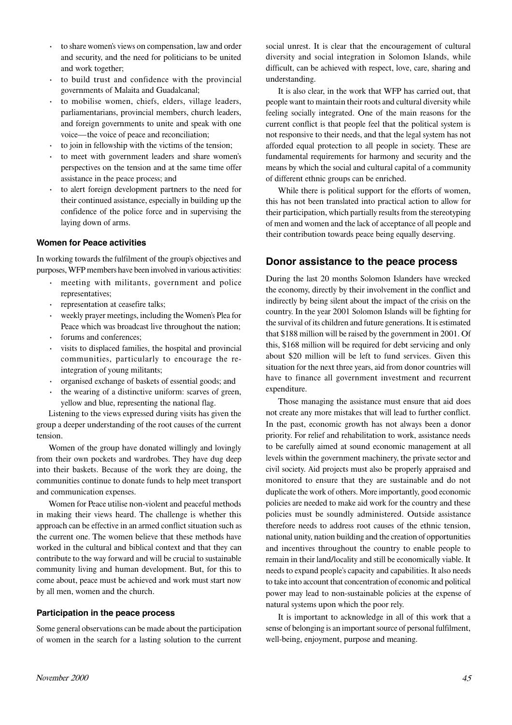- to share women's views on compensation, law and order and security, and the need for politicians to be united and work together;
- to build trust and confidence with the provincial governments of Malaita and Guadalcanal;
- to mobilise women, chiefs, elders, village leaders, parliamentarians, provincial members, church leaders, and foreign governments to unite and speak with one voice—the voice of peace and reconciliation;
- to join in fellowship with the victims of the tension;
- to meet with government leaders and share women's perspectives on the tension and at the same time offer assistance in the peace process; and
- · to alert foreign development partners to the need for their continued assistance, especially in building up the confidence of the police force and in supervising the laying down of arms.

#### **Women for Peace activities**

In working towards the fulfilment of the group's objectives and purposes,WFP members have been involved in various activities:

- meeting with militants, government and police representatives;
- representation at ceasefire talks;
- · weekly prayer meetings, including the Women's Plea for Peace which was broadcast live throughout the nation;
- forums and conferences;
- visits to displaced families, the hospital and provincial communities, particularly to encourage the reintegration of young militants;
- organised exchange of baskets of essential goods; and
- the wearing of a distinctive uniform: scarves of green, yellow and blue, representing the national flag.

Listening to the views expressed during visits has given the group a deeper understanding of the root causes of the current tension.

Women of the group have donated willingly and lovingly from their own pockets and wardrobes. They have dug deep into their baskets. Because of the work they are doing, the communities continue to donate funds to help meet transport and communication expenses.

Women for Peace utilise non-violent and peaceful methods in making their views heard. The challenge is whether this approach can be effective in an armed conflict situation such as the current one. The women believe that these methods have worked in the cultural and biblical context and that they can contribute to the way forward and will be crucial to sustainable community living and human development. But, for this to come about, peace must be achieved and work must start now by all men, women and the church.

#### **Participation in the peace process**

Some general observations can be made about the participation of women in the search for a lasting solution to the current social unrest. It is clear that the encouragement of cultural diversity and social integration in Solomon Islands, while difficult, can be achieved with respect, love, care, sharing and understanding.

It is also clear, in the work that WFP has carried out, that people want to maintain their roots and cultural diversity while feeling socially integrated. One of the main reasons for the current conflict is that people feel that the political system is not responsive to their needs, and that the legal system has not afforded equal protection to all people in society. These are fundamental requirements for harmony and security and the means by which the social and cultural capital of a community of different ethnic groups can be enriched.

While there is political support for the efforts of women, this has not been translated into practical action to allow for their participation, which partially results from the stereotyping of men and women and the lack of acceptance of all people and their contribution towards peace being equally deserving.

#### **Donor assistance to the peace process**

During the last 20 months Solomon Islanders have wrecked the economy, directly by their involvement in the conflict and indirectly by being silent about the impact of the crisis on the country. In the year 2001 Solomon Islands will be fighting for the survival of its children and future generations. It is estimated that \$188 million will be raised by the government in 2001. Of this, \$168 million will be required for debt servicing and only about \$20 million will be left to fund services. Given this situation for the next three years, aid from donor countries will have to finance all government investment and recurrent expenditure.

Those managing the assistance must ensure that aid does not create any more mistakes that will lead to further conflict. In the past, economic growth has not always been a donor priority. For relief and rehabilitation to work, assistance needs to be carefully aimed at sound economic management at all levels within the government machinery, the private sector and civil society. Aid projects must also be properly appraised and monitored to ensure that they are sustainable and do not duplicate the work of others. More importantly, good economic policies are needed to make aid work for the country and these policies must be soundly administered. Outside assistance therefore needs to address root causes of the ethnic tension, national unity, nation building and the creation of opportunities and incentives throughout the country to enable people to remain in their land/locality and still be economically viable. It needs to expand people's capacity and capabilities. It also needs to take into account that concentration of economic and political power may lead to non-sustainable policies at the expense of natural systems upon which the poor rely.

It is important to acknowledge in all of this work that a sense of belonging is an important source of personal fulfilment, well-being, enjoyment, purpose and meaning.